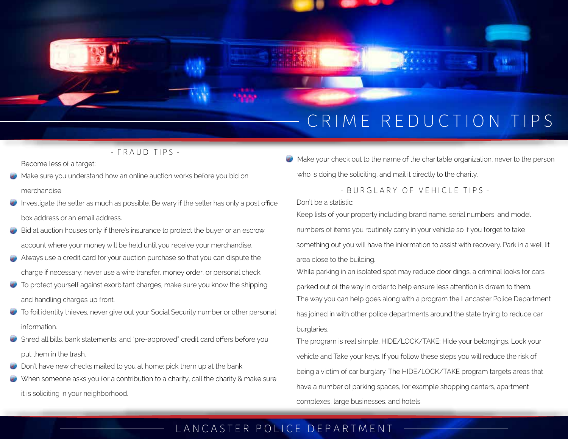# CRIME REDUCTION TIPS

- FRAUD TIPS -

Become less of a target:

- Make sure you understand how an online auction works before you bid on merchandise.
- Investigate the seller as much as possible. Be wary if the seller has only a post office box address or an email address.
- Bid at auction houses only if there's insurance to protect the buyer or an escrow account where your money will be held until you receive your merchandise.
- Always use a credit card for your auction purchase so that you can dispute the charge if necessary; never use a wire transfer, money order, or personal check.
- To protect yourself against exorbitant charges, make sure you know the shipping and handling charges up front.
- To foil identity thieves, never give out your Social Security number or other personal information.
- Shred all bills, bank statements, and "pre-approved" credit card offers before you put them in the trash.
- Don't have new checks mailed to you at home; pick them up at the bank.
- When someone asks you for a contribution to a charity, call the charity & make sure it is soliciting in your neighborhood.

 $\bullet$  Make your check out to the name of the charitable organization, never to the person who is doing the soliciting, and mail it directly to the charity.

- BURGLARY OF VEHICLE TIPS -

Don't be a statistic:

Keep lists of your property including brand name, serial numbers, and model numbers of items you routinely carry in your vehicle so if you forget to take something out you will have the information to assist with recovery. Park in a well lit area close to the building.

While parking in an isolated spot may reduce door dings, a criminal looks for cars parked out of the way in order to help ensure less attention is drawn to them. The way you can help goes along with a program the Lancaster Police Department has joined in with other police departments around the state trying to reduce car burglaries.

The program is real simple, HIDE/LOCK/TAKE; Hide your belongings, Lock your vehicle and Take your keys. If you follow these steps you will reduce the risk of being a victim of car burglary. The HIDE/LOCK/TAKE program targets areas that have a number of parking spaces, for example shopping centers, apartment complexes, large businesses, and hotels.

## LANCASTER POLICE DEPARTMENT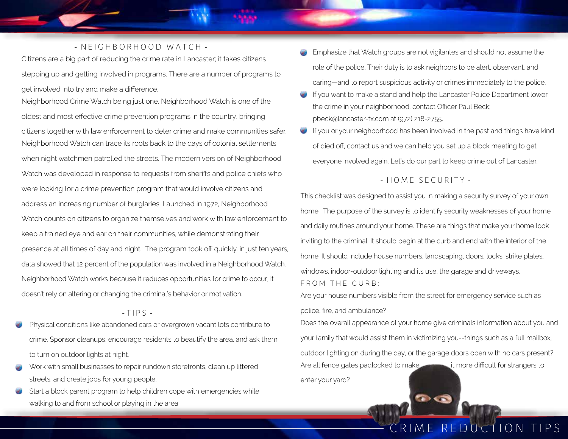#### - N E I G H B O R H O O D W A T C H -

Citizens are a big part of reducing the crime rate in Lancaster; it takes citizens stepping up and getting involved in programs. There are a number of programs to get involved into try and make a difference.

Neighborhood Crime Watch being just one. Neighborhood Watch is one of the oldest and most effective crime prevention programs in the country, bringing citizens together with law enforcement to deter crime and make communities safer. Neighborhood Watch can trace its roots back to the days of colonial settlements, when night watchmen patrolled the streets. The modern version of Neighborhood Watch was developed in response to requests from sheriffs and police chiefs who were looking for a crime prevention program that would involve citizens and address an increasing number of burglaries. Launched in 1972, Neighborhood Watch counts on citizens to organize themselves and work with law enforcement to keep a trained eye and ear on their communities, while demonstrating their presence at all times of day and night. The program took off quickly. in just ten years, data showed that 12 percent of the population was involved in a Neighborhood Watch. Neighborhood Watch works because it reduces opportunities for crime to occur; it doesn't rely on altering or changing the criminal's behavior or motivation.

#### $-TIPS -$

- Physical conditions like abandoned cars or overgrown vacant lots contribute to crime. Sponsor cleanups, encourage residents to beautify the area, and ask them to turn on outdoor lights at night.
- Work with small businesses to repair rundown storefronts, clean up littered streets, and create jobs for young people.
- Start a block parent program to help children cope with emergencies while walking to and from school or playing in the area.
- Emphasize that Watch groups are not vigilantes and should not assume the role of the police. Their duty is to ask neighbors to be alert, observant, and caring—and to report suspicious activity or crimes immediately to the police.
- If you want to make a stand and help the Lancaster Police Department lower the crime in your neighborhood, contact Officer Paul Beck; pbeck@lancaster-tx.com at (972) 218-2755.
- If you or your neighborhood has been involved in the past and things have kind of died off, contact us and we can help you set up a block meeting to get everyone involved again. Let's do our part to keep crime out of Lancaster.

#### - HOME SECURITY -

This checklist was designed to assist you in making a security survey of your own home. The purpose of the survey is to identify security weaknesses of your home and daily routines around your home. These are things that make your home look inviting to the criminal. It should begin at the curb and end with the interior of the home. It should include house numbers, landscaping, doors, locks, strike plates, windows, indoor-outdoor lighting and its use, the garage and driveways. FROM THE CURB:

Are your house numbers visible from the street for emergency service such as police, fire, and ambulance?

Does the overall appearance of your home give criminals information about you and your family that would assist them in victimizing you--things such as a full mailbox, outdoor lighting on during the day, or the garage doors open with no cars present? Are all fence gates padlocked to make it more difficult for strangers to enter your yard?

 $\bullet$ 

# CRIME REDUCTION TIPS